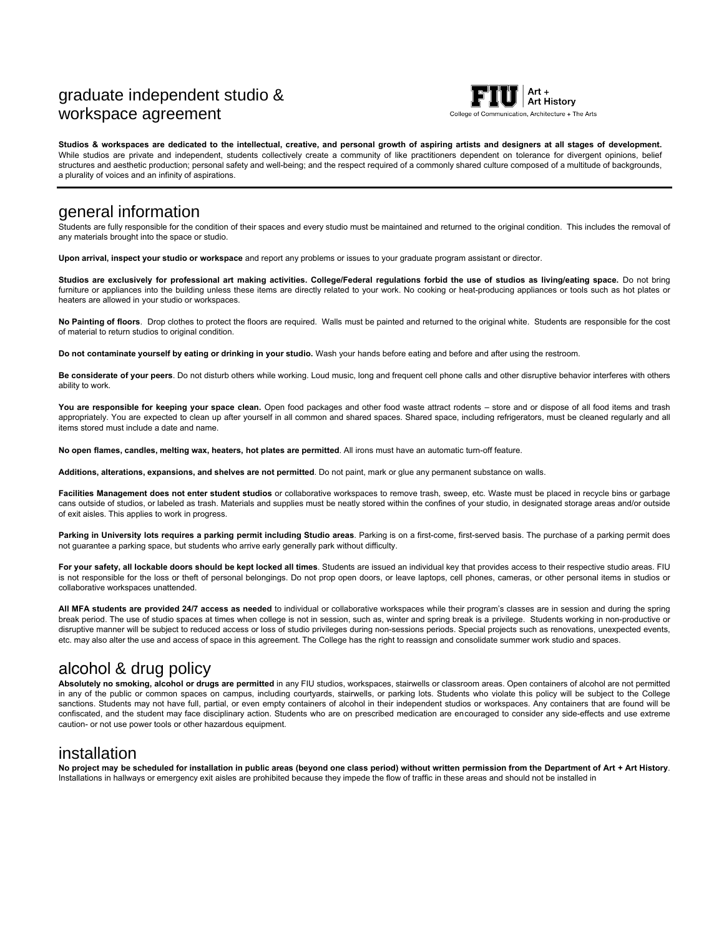# graduate independent studio & workspace agreement



**Studios & workspaces are dedicated to the intellectual, creative, and personal growth of aspiring artists and designers at all stages of development.** While studios are private and independent, students collectively create a community of like practitioners dependent on tolerance for divergent opinions, belief structures and aesthetic production; personal safety and well-being; and the respect required of a commonly shared culture composed of a multitude of backgrounds, a plurality of voices and an infinity of aspirations.

### general information

Students are fully responsible for the condition of their spaces and every studio must be maintained and returned to the original condition. This includes the removal of any materials brought into the space or studio.

**Upon arrival, inspect your studio or workspace** and report any problems or issues to your graduate program assistant or director.

**Studios are exclusively for professional art making activities. College/Federal regulations forbid the use of studios as living/eating space.** Do not bring furniture or appliances into the building unless these items are directly related to your work. No cooking or heat-producing appliances or tools such as hot plates or heaters are allowed in your studio or workspaces.

**No Painting of floors**. Drop clothes to protect the floors are required. Walls must be painted and returned to the original white. Students are responsible for the cost of material to return studios to original condition.

**Do not contaminate yourself by eating or drinking in your studio.** Wash your hands before eating and before and after using the restroom.

**Be considerate of your peers**. Do not disturb others while working. Loud music, long and frequent cell phone calls and other disruptive behavior interferes with others ability to work.

You are responsible for keeping your space clean. Open food packages and other food waste attract rodents - store and or dispose of all food items and trash appropriately. You are expected to clean up after yourself in all common and shared spaces. Shared space, including refrigerators, must be cleaned regularly and all items stored must include a date and name.

**No open flames, candles, melting wax, heaters, hot plates are permitted**. All irons must have an automatic turn-off feature.

**Additions, alterations, expansions, and shelves are not permitted**. Do not paint, mark or glue any permanent substance on walls.

**Facilities Management does not enter student studios** or collaborative workspaces to remove trash, sweep, etc. Waste must be placed in recycle bins or garbage cans outside of studios, or labeled as trash. Materials and supplies must be neatly stored within the confines of your studio, in designated storage areas and/or outside of exit aisles. This applies to work in progress.

Parking in University lots requires a parking permit including Studio areas. Parking is on a first-come, first-served basis. The purchase of a parking permit does not guarantee a parking space, but students who arrive early generally park without difficulty.

**For your safety, all lockable doors should be kept locked all times**. Students are issued an individual key that provides access to their respective studio areas. FIU is not responsible for the loss or theft of personal belongings. Do not prop open doors, or leave laptops, cell phones, cameras, or other personal items in studios or collaborative workspaces unattended.

**All MFA students are provided 24/7 access as needed** to individual or collaborative workspaces while their program's classes are in session and during the spring break period. The use of studio spaces at times when college is not in session, such as, winter and spring break is a privilege. Students working in non-productive or disruptive manner will be subject to reduced access or loss of studio privileges during non-sessions periods. Special projects such as renovations, unexpected events, etc. may also alter the use and access of space in this agreement. The College has the right to reassign and consolidate summer work studio and spaces.

# alcohol & drug policy

**Absolutely no smoking, alcohol or drugs are permitted** in any FIU studios, workspaces, stairwells or classroom areas. Open containers of alcohol are not permitted in any of the public or common spaces on campus, including courtyards, stairwells, or parking lots. Students who violate this policy will be subject to the College sanctions. Students may not have full, partial, or even empty containers of alcohol in their independent studios or workspaces. Any containers that are found will be confiscated, and the student may face disciplinary action. Students who are on prescribed medication are encouraged to consider any side-effects and use extreme caution- or not use power tools or other hazardous equipment.

## installation

**No project may be scheduled for installation in public areas (beyond one class period) without written permission from the Department of Art + Art History**. Installations in hallways or emergency exit aisles are prohibited because they impede the flow of traffic in these areas and should not be installed in